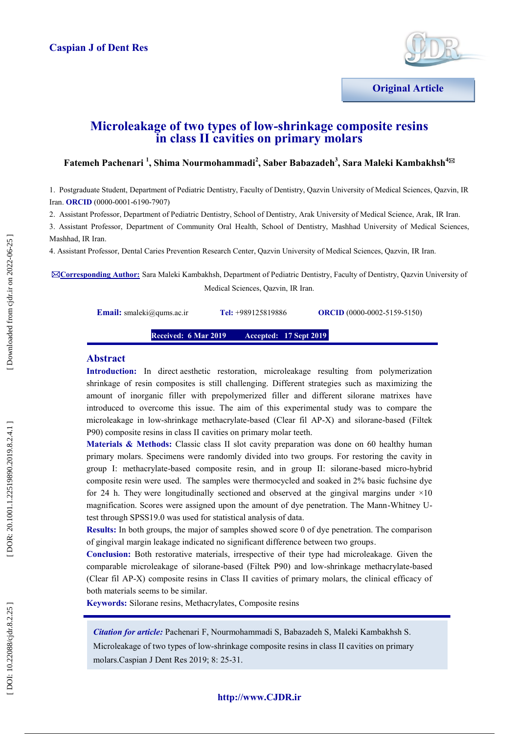

# **Microleakage of two types of low -shrinkage composite resins in class II cavities on primary molars**

# **Fatemeh Pachenari <sup>1</sup>, Shima Nourmohammadi<sup>2</sup>, Saber Babazadeh<sup>3</sup>, Sara Maleki Kambakhsh<sup>4⊠</sup>**

1 . Postgraduate Student, Department of Pediatric Dentistry, Faculty of Dentistry, Qazvin University of Medical Sciences, Qazvin, IR Iran. **ORCID** (0000-0001-6190-7907)

2. Assistant Professor, Department of Pediatric Dentistry, School of Dentistry, Arak University of Medical Science, Arak, IR Iran.

3. Assistant Professor, Department of Community Oral Health, School of Dentistry, Mashhad University of Medical Sciences, Mashhad, IR Iran.

4. Assistant Professor, Dental Caries Prevention Research Center, Qazvin University of Medical Sciences, Qazvin, IR Iran.

**Corresponding Author:** Sara Maleki Kambakhsh, Department of Pediatric Dentistry, Faculty of Dentistry, Qazvin University of Medical Sciences, Qazvin, IR Iran.

**Email:** [smaleki@qums.ac.ir](mailto:smaleki@qums.ac.ir)

Tel: +989125819886

 $(0000 - 0002 - 5159 - 5150)$ 

**Received: 6 Mar 201 9 Accepted:** 17 Sept 2019

# **Abstract**

**Introduction:** In direct aesthetic restoration, microleakage resulting from polymerization shrinkage of resin composites is still challenging. Different strategies such as maximizing the amount of inorganic filler with prepolymerized filler and different silorane matrixes have introduced to overcome this issue. The aim of this experimental study was to compare the microleakage in low -shrinkage methacrylate -based (Clear fil AP -X) and silorane -based (Filtek P90) composite resins in class II cavities on primary molar teeth.

**Materials & Methods:** Classic class II slot cavity preparation was done on 60 healthy human primary molars. Specimens were randomly divided into two groups. For restoring the cavity in group I: methacrylate -based composite resin, and in group II: silorane -based micro -hybrid composite resin were used. The samples were thermocycled and soaked in 2% basic fuchsine dye for 24 h. They were longitudinally sectioned and observed at the gingival margins under  $\times 10$ magnification. Scores were assigned upon the amount of dye penetration. The Mann-Whitney Utest through SPSS19.0 was used for statistical analysis of data.

**Results:** In both groups, the major of samples showed score 0 of dye penetration. The comparison of gingival margin leakage indicated no significant difference between two groups .

**Conclusion:** Both restorative materials, irrespective of their type had microleakage. Given the comparable microleakage of silorane -based (Filtek P90) and low -shrinkage methacrylate -based (Clear fil AP -X) composite resins in Class II cavities of primary molars, the clinical efficacy of both materials seems to be similar.

**Keywords:** Silorane resins, [Methacrylates,](https://meshb-prev.nlm.nih.gov/record/ui?ui=D008689) Composite resins

*Citation for article:* Pachenari F, Nourmohammadi S, Babazadeh S, Maleki Kambakhsh S.

Microleakage of two types of low -shrinkage composite resins in class II cavities on primary molars.Caspian J Dent Res 2019; 8: 25 -31.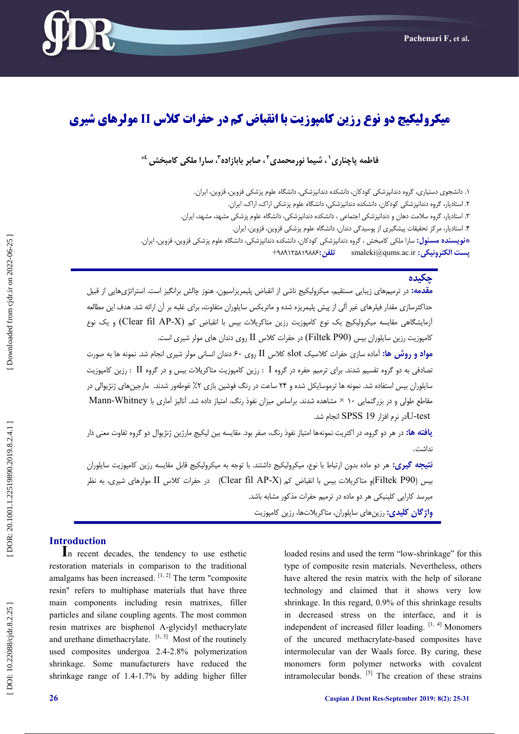

# **میکرولیکیج دو نوع رزین کامپوزیت با انقباض کم در حفرات کالس II مولرهای شیری**

# فاطمه پاچناری`، شیما نورمحمدی<sup>۲</sup>، صابر بابازاده<sup>۳</sup>، سارا ملکی کامبخش <sup>٤</sup>\*

۱. دانشجوی دستیاری، گروه دندانپزشکی کودکان، دانشکده دندانپزشکی، دانشگاه علوم پزشکی قزوین، قزوین، ایران. ۲. استادیار، گروه دندانپزشکی کودکان، دانشکده دندانپزشکی، دانشگاه علوم پزشکی اراک، اراک، ایران. ۳. استادیار، گروه سلامت دهان و دندانپزشکی اجتماعی ، دانشکده دندانپزشکی، دانشگاه علوم پزشکی مشهد، هشهد، ایران. . ۴. استادیار، مرکز تحقیقات پیشگیری از پوسیدگی دندان، دانشگاه علوم پزشکی قزوین، قزوین، ایران. . **\*نویسنده مسئول:** سارا ملکی کامبخش ، گروه دندانپزشکی کودکان، دانشکده دندانپزشکی، دانشگاه علوم پزشکی قزوین، قزوین، ایران. **تلفن:۱۹۸۸۶۱۹۸۸۶+**+ **:تلفه** smaleki@qums.ac.ir **پست الکتريویکی:**

# **چکیذٌ**

<mark>مقدمه:</mark> در ترمیمهای زیبایی مستقیم، میکرولیکیج ناشی از انقباض پلیمریزاسیون، هنوز چالش برانگیز است. استراتژیهایی از قبیل حداکثرسازی مقدار فیلرهای غیر آلی از پیش پلیمریزه شده و ماتریکس سایلوران متفاوت، برای غلبه بر آن ارائه شد. هدف این مطالعه آزمایشگاهی مقایسه میکرولیکیج یک نوع کامپوزیت رزین متاکریلات بیس با انقباض کم (Clear fil AP-X) و یک نوع کامپوزيت رزين سايلوران بيس (Filtek P90) در حفرات کلاس II روی دندان های مولر شیری است.

<mark>مواد و روش ها:</mark> آماده سازی حفرات کلاسیک slot کلاس II روی ۶۰ دندان انسانی مولر شیری انجام شد. نمونه ها به صورت تصادفی بِه دو گروه تقسیم شدند. برای ترمیم حفره در گروه I : رزین کامپوزیت متاکریلات بیس و در گروه II : رزین کامپوزیت سایلوران بیس استفاده شد. نمونه ها ترموسایکل شده و ۲۴ ساعت در رنگ فوشین بازی ۲٪ غوطهور شدند. مارجینهای ژنژیوالی در مقاطع طولی و در بزرگنمایی ۱۰ × مشاهده شدند. براساس میزان نفوذ رنگ، امتیاز داده شد. آنالیز آماری با Mann-Whitney لادر نرم افزار SPSS 19 انجام شد.

**یافته ها:** در هر دو گروه، در اکثریت نمونهها امتیاز نفوذ رنگ، صفر بود. مقایسه بین لیکیج مارژین ژنژیوال دو گروه تفاوت معنی دار<br>نداشت.

**نتیجِه گیری:** هر دو ماده بدون ارتباط با نوع، میکرولیکیج داشتند. با توجه به میکرولیکیج قابل مقایسه رزین کامپوزیت سایلوران بیس (Filtek P90)و متاکریلات بیس با انقباض کم (Clear fil AP-X) در حفرات کلاس II مولرهای شیری، به نظر میرسد کارایی کلینیکی هر دو ماده در ترمیم حفرات مذکور مشابِه باشد.

<mark>واژگان کلیدی:</mark> رزینهای سایلوران، متاکریلاتها، رزین کامپوزیت

**Introduction <sup>I</sup>**n recent decades, the tendency to use esthetic restoration materials in comparison to the traditional amalgams has been increased.  $[1, 2]$  The term "composite resin" refers to multiphase materials that have three main components including resin matrixes, filler particles and silane coupling agents. The most common resin matrixes are bisphenol A -glycidyl methacrylate and urethane dimethacrylate.  $[1, 3]$  Most of the routinely used composites undergoa 2.4 -2.8% polymerization shrinkage. Some manufacturers have reduced the shrinkage range of 1.4 -1.7% by adding higher filler

loaded resins and used the term "low-shrinkage" for this type of composite resin materials. Nevertheless, others have altered the resin matrix with the help of silorane technology and claimed that it shows very low shrinkage. In this regard, 0.9% of this shrinkage results in decreased stress on the interface, and it is independent of increased filler loading. [1, 4] Monomers of the uncured methacrylate -based composites have intermolecular van der Waals force. By curing, these monomers form polymer networks with covalent intramolecular bonds. [5] The creation of these strains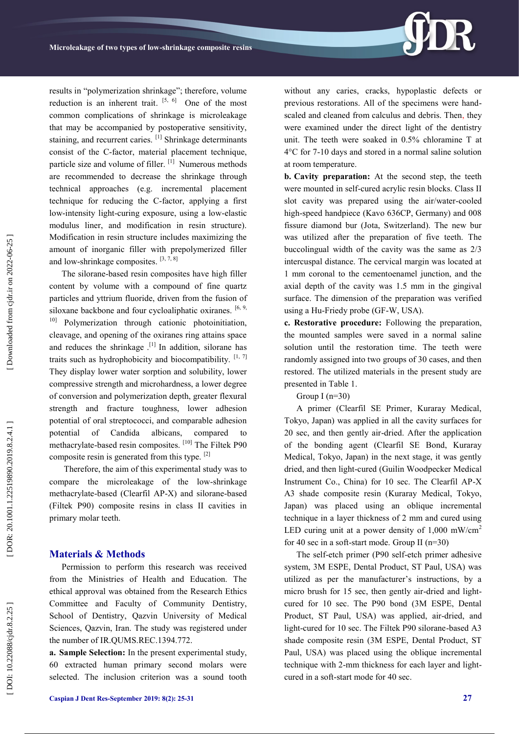results in "polymerization shrinkage"; therefore, volume reduction is an inherent trait.  $[5, 6]$  One of the most common complications of shrinkage is microleakage that may be accompanied by postoperative sensitivity, staining, and recurrent caries. <sup>[1]</sup> Shrinkage determinants consist of the C -factor, material placement technique, particle size and volume of filler.<sup>[1]</sup> Numerous methods are recommended to decrease the shrinkage through technical approaches (e.g. incremental placement technique for reducing the C -factor, applying a first low-intensity light-curing exposure, using a low-elastic modulus liner, and modification in resin structure). Modification in resin structure includes maximizing the amount of inorganic filler with prepolymerized filler and low-shrinkage composites.  $[3, 7, 8]$ 

The silorane -based resin composites have high filler content by volume with a compound of fine quartz particles and yttrium fluoride, driven from the fusion of siloxane backbone and four cycloaliphatic oxiranes.  $[6, 9, 9]$ 10] Polymerization through cationic photoinitiation, cleavage, and opening of the oxiranes ring attains space and reduces the shrinkage .<sup>[1]</sup> In addition, silorane has traits such as hydrophobicity and biocompatibility.  $[1, 7]$ They display lower water sorption and solubility, lower compressive strength and microhardness, a lower degree of conversion and polymerization depth, greater flexural strength and fracture toughness, lower adhesion potential of oral streptococci, and comparable adhesion potential of Candida albicans, compared to methacrylate-based resin composites. [10] The Filtek P90 composite resin is generated from this type. [2]

Therefore, the aim of this experimental study was to compare the microleakage of the low -shrinkage methacrylate -based (Clearfil AP -X) and silorane -based (Filtek P90) composite resins in class II cavities in primary molar teeth.

#### **Materials & Methods**

Permission to perform this research was received from the Ministries of Health and Education. The ethical approval was obtained from the Research Ethics Committee and Faculty of Community Dentistry, School of Dentistry, Qazvin University of Medical Sciences, Qazvin, Iran. The study was registered under the number of IR.QUMS.REC.1394.772.

**a. Sample Selection:** In the present experimental study, 60 extracted human primary second molars were selected. The inclusion criterion was a sound tooth

without any caries, cracks, hypoplastic defects or previous restorations. All of the specimens were hand scaled and cleaned from calculus and debris. Then , they were examined under the direct light of the dentistry unit. The teeth were soaked in 0.5% chloramine T at 4°C for 7 -10 days and stored in a normal saline solution at room temperature.

**b. Cavity preparation:** At the second step, the teeth were mounted in self-cured acrylic resin blocks. Class II slot cavity was prepared using the air/water -cooled high -speed handpiece (Kavo 636CP, Germany) and 008 fissure diamond bur (Jota, Switzerland). The new bur was utilized after the preparation of five teeth. The buccolingual width of the cavity was the same as 2/3 intercuspal distance. The cervical margin was located at 1 mm coronal to the cementoenamel junction, and the axial depth of the cavity was 1.5 mm in the gingival surface. The dimension of the preparation was verified using a Hu -Friedy probe (GF -W, USA).

**c. Restorative procedure:** Following the preparation, the mounted samples were saved in a normal saline solution until the restoration time. The teeth were randomly assigned into two groups of 30 cases, and then restored. The utilized materials in the present study are presented in Table 1.

Group I  $(n=30)$ 

A primer (Clearfil SE Primer, Kuraray Medical, Tokyo, Japan) was applied in all the cavity surfaces for 20 sec, and then gently air -dried. After the application of the bonding agent (Clearfil SE Bond, Kuraray Medical, Tokyo, Japan) in the next stage, it was gently dried, and then light -cured (Guilin Woodpecker Medical Instrument Co., China) for 10 sec. The Clearfil AP -X A3 shade composite resin (Kuraray Medical, Tokyo, Japan) was placed using an oblique incremental technique in a layer thickness of 2 mm and cured using LED curing unit at a power density of  $1,000$  mW/cm<sup>2</sup> for 40 sec in a soft -start mode. Group II (n=30)

The self-etch primer (P90 self-etch primer adhesive system, 3M ESPE, Dental Product, ST Paul, USA) was utilized as per the manufacturer's instructions, by a micro brush for 15 sec, then gently air-dried and lightcured for 10 sec. The P90 bond (3M ESPE, Dental Product, ST Paul, USA) was applied, air -dried, and light-cured for 10 sec. The Filtek P90 silorane-based A3 shade composite resin (3M ESPE, Dental Product, ST Paul, USA) was placed using the oblique incremental technique with 2 -mm thickness for each layer and light cured in a soft -start mode for 40 sec.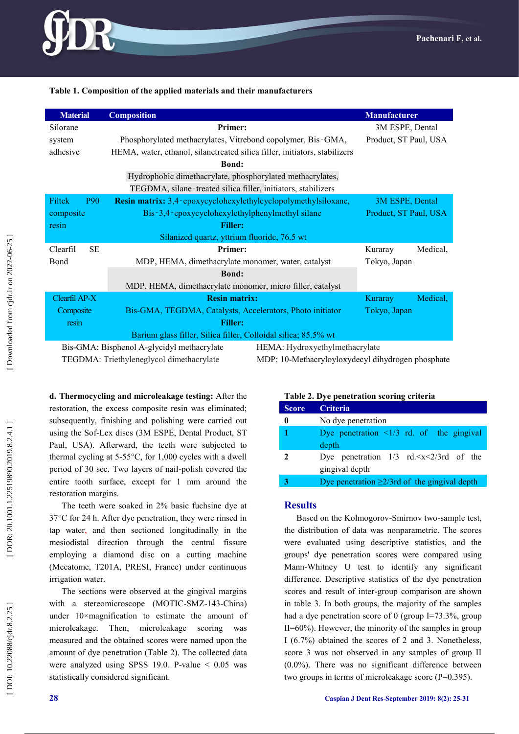#### **Table 1 . Composition of the applied materials and their manufacturers**

| <b>Material</b>       | <b>Composition</b>                                                           | <b>Manufacturer</b>   |          |  |  |  |  |
|-----------------------|------------------------------------------------------------------------------|-----------------------|----------|--|--|--|--|
| Silorane              | <b>Primer:</b>                                                               | 3M ESPE, Dental       |          |  |  |  |  |
| system                | Phosphorylated methacrylates, Vitrebond copolymer, Bis-GMA,                  | Product, ST Paul, USA |          |  |  |  |  |
| adhesive              | HEMA, water, ethanol, silanetreated silica filler, initiators, stabilizers   |                       |          |  |  |  |  |
|                       | <b>Bond:</b>                                                                 |                       |          |  |  |  |  |
|                       | Hydrophobic dimethacrylate, phosphorylated methacrylates,                    |                       |          |  |  |  |  |
|                       | TEGDMA, silane-treated silica filler, initiators, stabilizers                |                       |          |  |  |  |  |
| Filtek<br><b>P90</b>  | <b>Resin matrix:</b> 3,4-epoxycyclohexylethylcyclopolymethylsiloxane,        | 3M ESPE, Dental       |          |  |  |  |  |
| composite             | Bis-3,4-epoxycyclohexylethylphenylmethyl silane                              | Product, ST Paul, USA |          |  |  |  |  |
| resin                 | <b>Filler:</b>                                                               |                       |          |  |  |  |  |
|                       | Silanized quartz, yttrium fluoride, 76.5 wt                                  |                       |          |  |  |  |  |
| <b>SE</b><br>Clearfil | <b>Primer:</b>                                                               | Kuraray               | Medical, |  |  |  |  |
| Bond                  | MDP, HEMA, dimethacrylate monomer, water, catalyst                           | Tokyo, Japan          |          |  |  |  |  |
|                       | <b>Bond:</b>                                                                 |                       |          |  |  |  |  |
|                       | MDP, HEMA, dimethacrylate monomer, micro filler, catalyst                    |                       |          |  |  |  |  |
| Clearfil AP-X         | <b>Resin matrix:</b>                                                         | Kuraray               | Medical, |  |  |  |  |
| Composite             | Bis-GMA, TEGDMA, Catalysts, Accelerators, Photo initiator                    | Tokyo, Japan          |          |  |  |  |  |
| resin                 | <b>Filler:</b>                                                               |                       |          |  |  |  |  |
|                       | Barium glass filler, Silica filler, Colloidal silica; 85.5% wt               |                       |          |  |  |  |  |
|                       | Bis-GMA: Bisphenol A-glycidyl methacrylate<br>HEMA: Hydroxyethylmethacrylate |                       |          |  |  |  |  |

TEGDMA: Triethyleneglycol dimethacrylate

MDP: 10-Methacryloyloxydecyl dihydrogen phosphate

**d. Thermocycling and microleakage testing:** After the restoration, the excess composite resin was eliminated; subsequently, finishing and polishing were carried out using the Sof-Lex discs (3M ESPE, Dental Product, ST Paul, USA). Afterward, the teeth were subjected to thermal cycling at 5 -55°C, for 1,000 cycles with a dwell period of 30 sec. Two layers of nail -polish covered the entire tooth surface, except for 1 mm around the restoration margins.

The teeth were soaked in 2% basic fuchsine dye at 37°C for 24 h. After dye penetration, they were rinsed in tap water , and then sectioned longitudinally in the mesiodistal direction through the central fissure employing a diamond disc on a cutting machine (Mecatome, T201A, PRESI, France) under continuous irrigation water.

The sections were observed at the gingival margins with a stereomicroscope (MOTIC-SMZ-143-China) under 10×magnification to estimate the amount of microleakage. Then, microleakage scoring was measured and the obtained scores were named upon the amount of dye penetration (Table 2). The collected data were analyzed using SPSS 19.0. P-value  $\leq 0.05$  was statistically considered significant.

# **Table 2 . Dye penetration scoring criteria**

| <b>Score</b> | <b>Criteria</b>                                                                     |
|--------------|-------------------------------------------------------------------------------------|
|              | No dye penetration                                                                  |
| 1            | Dye penetration $\langle 1/3 \rangle$ rd. of the gingival<br>depth                  |
| 2            | Dye penetration $1/3$ rd. $\langle x \langle 2/3r \rangle$ of the<br>gingival depth |
|              | Dye penetration $\geq$ 2/3rd of the gingival depth                                  |

### **Results**

Based on the Kolmogorov -Smirnov two -sample test, the distribution of data was nonparametric. The scores were evaluated using descriptive statistics, and the groups' dye penetration scores were compared using Mann -Whitney U test to identify any significant difference. Descriptive statistics of the dye penetration scores and result of inter -group comparison are shown in table 3. In both groups, the majority of the samples had a dye penetration score of 0 (group I=73.3%, group  $II=60\%$ ). However, the minority of the samples in group I (6.7%) obtained the scores of 2 and 3. Nonetheless, score 3 was not observed in any samples of group II (0.0%). There was no significant difference between two groups in terms of microleakage score (P=0.395).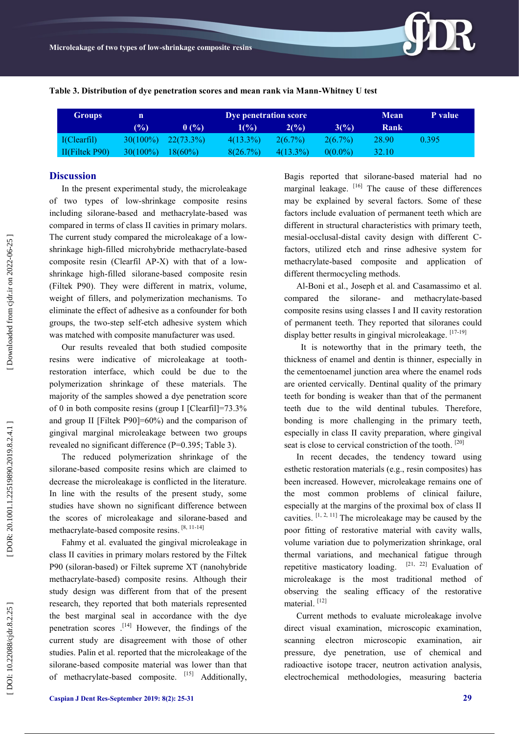**Table 3. Distribution of dye penetration scores and mean rank via Mann -Whitney U test**

| <b>Groups</b>  | n           | Dye penetration score |             |             |            | <b>Mean</b>  | P value |
|----------------|-------------|-----------------------|-------------|-------------|------------|--------------|---------|
|                | $(\%)$      | 0(%)                  | 1(%)        | 2(%)        | 3(%)       | Rank         |         |
| I(Clearfil)    | $30(100\%)$ | $-22(73.3\%)$         | $4(13.3\%)$ | $2(6.7\%)$  | $2(6.7\%)$ | 28.90        | 0.395   |
| II(Filtek P90) | $30(100\%)$ | $18(60\%)$            | 8(26.7%)    | $4(13.3\%)$ | $0(0.0\%)$ | <b>32.10</b> |         |

#### **Discussion**

In the present experimental study, the microleakage of two types of low -shrinkage composite resins including silorane -based and methacrylate -based was compared in terms of class II cavities in primary molars. The current study compared the microleakage of a lowshrinkage high -filled microhybride methacrylate -based composite resin (Clearfil AP-X) with that of a lowshrinkage high -filled silorane -based composite resin (Filtek P90). They were different in matrix, volume, weight of fillers, and polymerization mechanisms. To eliminate the effect of adhesive as a confounder for both groups, the two -step self-etch adhesive system which was matched with composite manufacturer was used.

Our results revealed that both studied composite resins were indicative of microleakage at tooth restoration interface, which could be due to the polymerization shrinkage of these materials. The majority of the samples showed a dye penetration score of 0 in both composite resins (group I [Clearfil]=73.3% and group II [Filtek P90]=60%) and the comparison of gingival marginal microleakage between two groups revealed no significant difference (P=0.395; Table 3).

The reduced polymerization shrinkage of the silorane -based composite resins which are claimed to decrease the microleakage is conflicted in the literature. In line with the results of the present study, some studies have shown no significant difference between the scores of microleakage and silorane-based and methacrylate-based composite resins.<sup>[8, 11-14]</sup>

Fahmy et al. evaluated the gingival microleakage in class II cavities in primary molars restored by the Filtek P90 (siloran -based) or Filtek supreme XT (nanohybride methacrylate -based) composite resins. Although their study design was different from that of the present research, they reported that both materials represented the best marginal seal in accordance with the dye penetration scores . [14] However, the findings of the current study are disagreement with those of other studies. Palin et al. reported that the microleakage of the silorane -based composite material was lower than that of methacrylate-based composite. [15] Additionally,

Bagis reported that silorane -based material had no marginal leakage. [16] The cause of these differences may be explained by several factors. Some of these factors include evaluation of permanent teeth which are different in structural characteristics with primary teeth, mesial-occlusal-distal cavity design with different Cfactors, utilized etch and rinse adhesive system for methacrylate -based composite and application of different thermocycling methods.

Al -Boni et al., Joseph et al. and Casamassimo et al. compared the silorane - and methacrylate -based composite resins using classes I and II cavity restoration of permanent teeth. They reported that siloranes could display better results in gingival microleakage. [17-19]

It is noteworthy that in the primary teeth, the thickness of enamel and dentin is thinner, especially in the cementoenamel junction area where the enamel rods are oriented cervically. Dentinal quality of the primary teeth for bonding is weaker than that of the permanent teeth due to the wild dentinal tubules. Therefore, bonding is more challenging in the primary teeth, especially in class II cavity preparation, where gingival seat is close to cervical constriction of the tooth.<sup>[20]</sup>

In recent decades, the tendency toward using esthetic restoration materials (e.g., resin composites) has been increased. However, microleakage remains one of the most common problems of clinical failure, especially at the margins of the proximal box of class II cavities.  $[1, 2, 11]$  The microleakage may be caused by the poor fitting of restorative material with cavity walls, volume variation due to polymerization shrinkage, oral thermal variations, and mechanical fatigue through repetitive masticatory loading.  $[21, 22]$  Evaluation of microleakage is the most traditional method of observing the sealing efficacy of the restorative material.<sup>[12]</sup>

Current methods to evaluate microleakage involve direct visual examination, microscopic examination, scanning electron microscopic examination, air pressure, dye penetration, use of chemical and radioactive isotope tracer, neutron activation analysis, electrochemical methodologies, measuring bacteria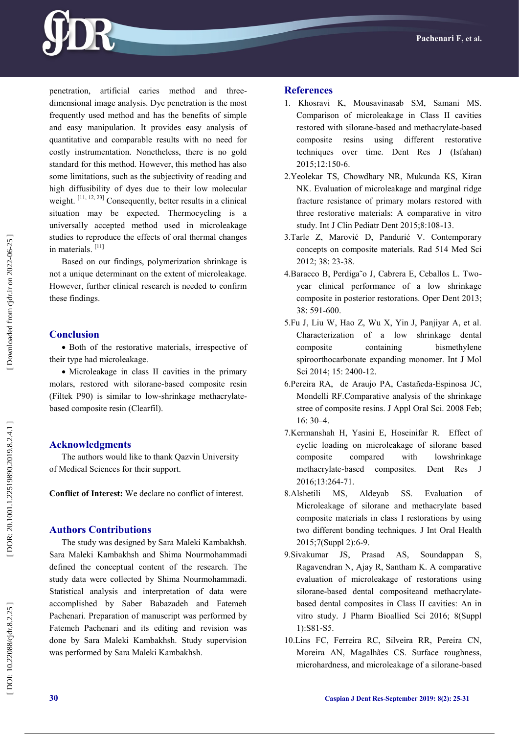

penetration, artificial caries method and three dimensional image analysis. Dye penetration is the most frequently used method and has the benefits of simple and easy manipulation. It provides easy analysis of quantitative and comparable results with no need for costly instrumentation. Nonetheless, there is no gold standard for this method. However, this method has also some limitations, such as the subjectivity of reading and high diffusibility of dyes due to their low molecular weight.<sup>[11, 12, 23]</sup> Consequently, better results in a clinical situation may be expected. Thermocycling is a universally accepted method used in microleakage studies to reproduce the effects of oral thermal changes in materials.<sup>[11]</sup>

Based on our findings, polymerization shrinkage is not a unique determinant on the extent of microleakage. However, further clinical research is needed to confirm these findings.

#### **Conclusion**

 Both of the restorative materials, irrespective of their type had microleakage.

• Microleakage in class II cavities in the primary molars, restored with silorane -based composite resin (Filtek P90) is similar to low -shrinkage methacrylate based composite resin (Clearfil) .

#### **Acknowledgments**

The authors would like to thank Qazvin University of Medical Sciences for their support.

**Conflict of Interest:** We declare no conflict of interest.

#### **Authors Contributions**

The study was designed by Sara Maleki Kambakhsh. Sara Maleki Kambakhsh and Shima Nourmohammadi defined the conceptual content of the research. The study data were collected by Shima Nourmohammadi. Statistical analysis and interpretation of data were accomplished by Saber Babazadeh and Fatemeh Pachenari. Preparation of manuscript was performed by Fatemeh Pachenari and its editing and revision was done by Sara Maleki Kambakhsh. Study supervision was performed by Sara Maleki Kambakhsh.

#### **References**

- 1. Khosravi K, Mousavinasab SM, Samani MS. Comparison of microleakage in Class II cavities restored with silorane -based and methacrylate -based composite resins using different restorative techniques over time. Dent Res J (Isfahan) 2015;12:150 -6.
- 2.Yeolekar TS, Chowdhary NR, Mukunda KS, Kiran NK. Evaluation of microleakage and marginal ridge fracture resistance of primary molars restored with three restorative materials: A comparative in vitro study. Int J Clin Pediatr Dent 2015;8:108 -13.
- 3.Tarle Z, Marović D, Pandurić V. Contemporary concepts on composite materials. Rad 514 Med Sci 2012; 38: 23 -38.
- 4.Baracco B, Perdiga˜o J, Cabrera E, Ceballos L. Two year clinical performance of a low shrinkage composite in posterior restorations. Oper Dent 2013; 38: 591 -600.
- 5.Fu J, Liu W, Hao Z, Wu X, Yin J, Panjiyar A, et al. Characterization of a low shrinkage dental composite containing bismethylene spiroorthocarbonate expanding monomer. Int J Mol Sci 2014; 15: 2400-12.
- 6.Pereira RA, de Araujo PA, Castañeda -Espinosa JC, Mondelli RF.Comparative analysis of the shrinkage stree of composite resins. J Appl Oral Sci. 2008 Feb; 16: 30 –4.
- 7.Kermanshah H, Yasini E, Hoseinifar R. Effect of cyclic loading on microleakage of silorane based composite compared with lowshrinkage methacrylate composites. Dent Res J 2016;13:264 -71.
- 8.Alshetili MS, Aldeyab SS. Evaluation of Microleakage of silorane and methacrylate based composite materials in class I restorations by using two different bonding techniques. J Int Oral Health 2015;7(Suppl 2):6 -9.
- 9.Sivakumar JS, Prasad AS, Soundappan S, Ragavendran N, Ajay R, Santham K. A comparative evaluation of microleakage of restorations using silorane -based dental compositeand methacrylate based dental composites in Class II cavities: An in vitro study. J Pharm Bioallied Sci 2016; 8(Suppl 1):S81 -S5.
- 10.Lins FC, Ferreira RC, Silveira RR, Pereira CN, Moreira AN, Magalhães CS. Surface roughness, microhardness, and microleakage of a silorane -based